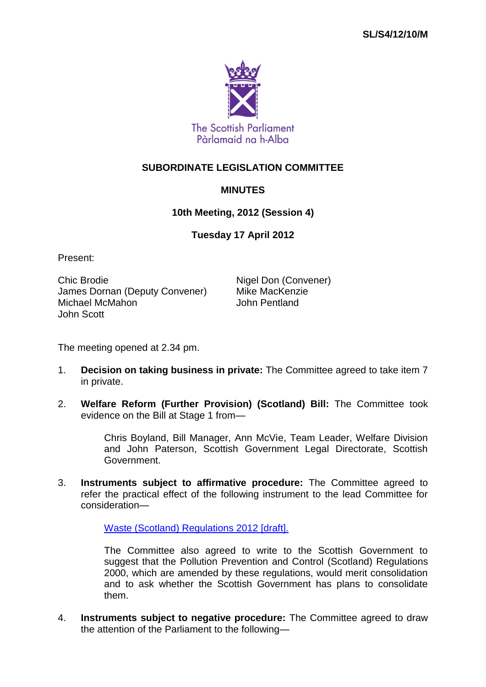

## **SUBORDINATE LEGISLATION COMMITTEE**

## **MINUTES**

## **10th Meeting, 2012 (Session 4)**

## **Tuesday 17 April 2012**

Present:

Chic Brodie **Nigel Don (Convener)** James Dornan (Deputy Convener) Mike MacKenzie Michael McMahon John Scott

The meeting opened at 2.34 pm.

- 1. **Decision on taking business in private:** The Committee agreed to take item 7 in private.
- 2. **Welfare Reform (Further Provision) (Scotland) Bill:** The Committee took evidence on the Bill at Stage 1 from—

Chris Boyland, Bill Manager, Ann McVie, Team Leader, Welfare Division and John Paterson, Scottish Government Legal Directorate, Scottish Government.

3. **Instruments subject to affirmative procedure:** The Committee agreed to refer the practical effect of the following instrument to the lead Committee for consideration—

[Waste \(Scotland\) Regulations 2012 \[draft\].](http://www.legislation.gov.uk/sdsi/2012/9780111016657/contents)

The Committee also agreed to write to the Scottish Government to suggest that the Pollution Prevention and Control (Scotland) Regulations 2000, which are amended by these regulations, would merit consolidation and to ask whether the Scottish Government has plans to consolidate them.

4. **Instruments subject to negative procedure:** The Committee agreed to draw the attention of the Parliament to the following